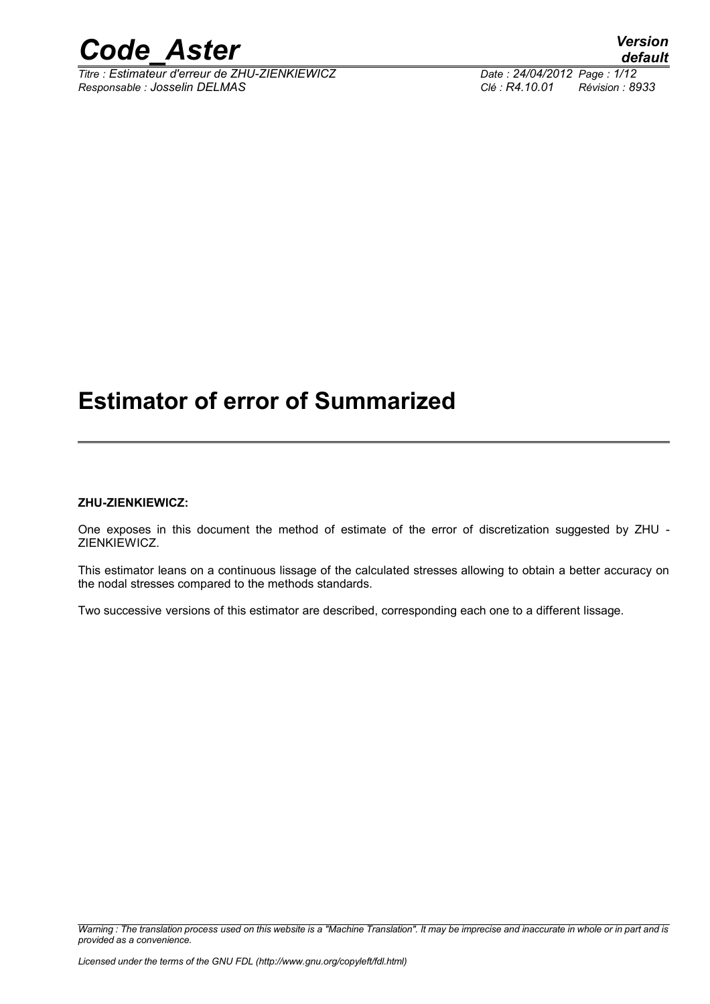

*Titre : Estimateur d'erreur de ZHU-ZIENKIEWICZ Date : 24/04/2012 Page : 1/12 Responsable : Josselin DELMAS Clé : R4.10.01 Révision : 8933*

## **Estimator of error of Summarized**

#### **ZHU-ZIENKIEWICZ:**

One exposes in this document the method of estimate of the error of discretization suggested by ZHU - ZIENKIEWICZ.

This estimator leans on a continuous lissage of the calculated stresses allowing to obtain a better accuracy on the nodal stresses compared to the methods standards.

Two successive versions of this estimator are described, corresponding each one to a different lissage.

*Warning : The translation process used on this website is a "Machine Translation". It may be imprecise and inaccurate in whole or in part and is provided as a convenience.*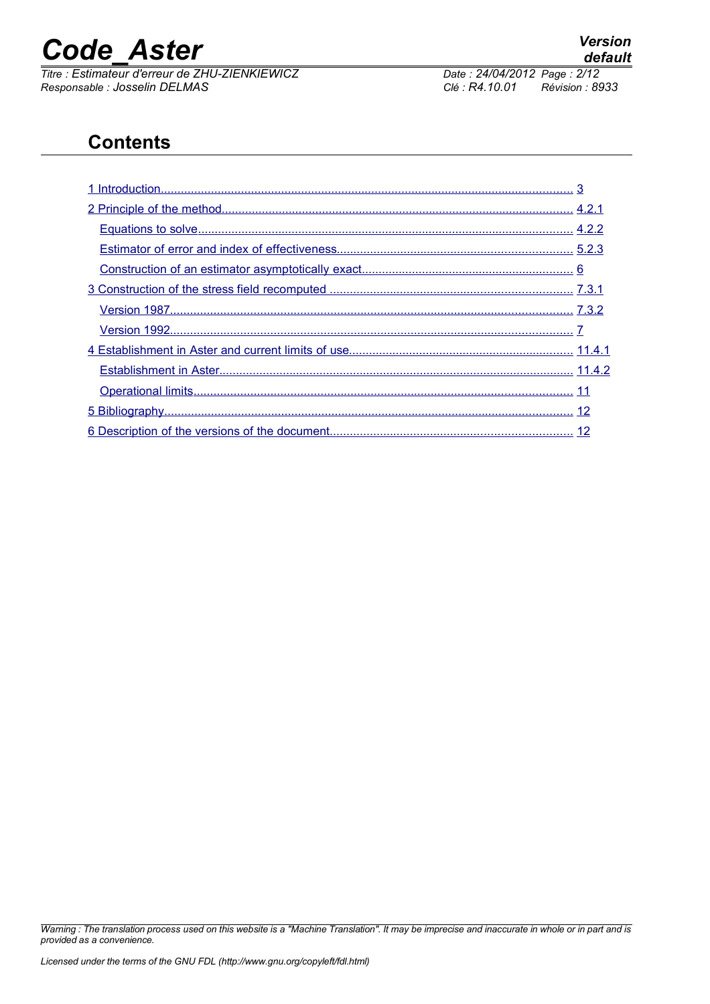*Titre : Estimateur d'erreur de ZHU-ZIENKIEWICZ Date : 24/04/2012*<br> *Responsable : Josselin DELMAS* Clé : R4.10.01 *Responsable : Josselin DELMAS Clé : R4.10.01 Révision : 8933*

### **Contents**

*Warning : The translation process used on this website is a "Machine Translation". It may be imprecise and inaccurate in whole or in part and is provided as a convenience.*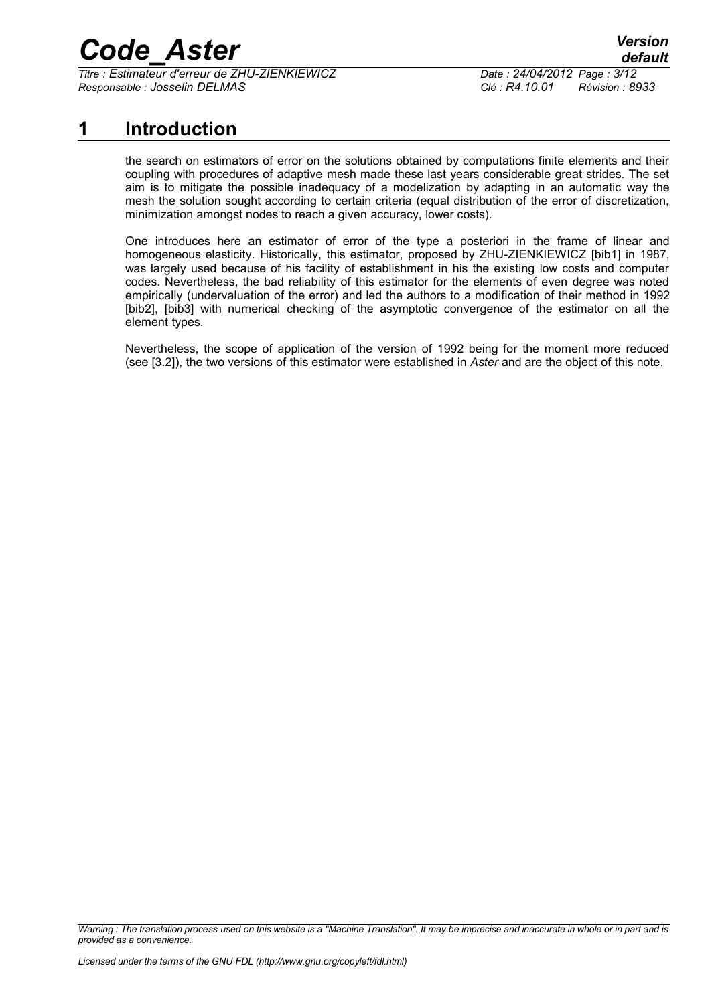*Titre : Estimateur d'erreur de ZHU-ZIENKIEWICZ Date : 24/04/2012 Page : 3/12 Responsable : Josselin DELMAS Clé : R4.10.01 Révision : 8933*

### **1 Introduction**

<span id="page-2-0"></span>the search on estimators of error on the solutions obtained by computations finite elements and their coupling with procedures of adaptive mesh made these last years considerable great strides. The set aim is to mitigate the possible inadequacy of a modelization by adapting in an automatic way the mesh the solution sought according to certain criteria (equal distribution of the error of discretization, minimization amongst nodes to reach a given accuracy, lower costs).

One introduces here an estimator of error of the type a posteriori in the frame of linear and homogeneous elasticity. Historically, this estimator, proposed by ZHU-ZIENKIEWICZ [bib1] in 1987, was largely used because of his facility of establishment in his the existing low costs and computer codes. Nevertheless, the bad reliability of this estimator for the elements of even degree was noted empirically (undervaluation of the error) and led the authors to a modification of their method in 1992 [bib2], [bib3] with numerical checking of the asymptotic convergence of the estimator on all the element types.

Nevertheless, the scope of application of the version of 1992 being for the moment more reduced (see [3.2]), the two versions of this estimator were established in *Aster* and are the object of this note.

*Warning : The translation process used on this website is a "Machine Translation". It may be imprecise and inaccurate in whole or in part and is provided as a convenience.*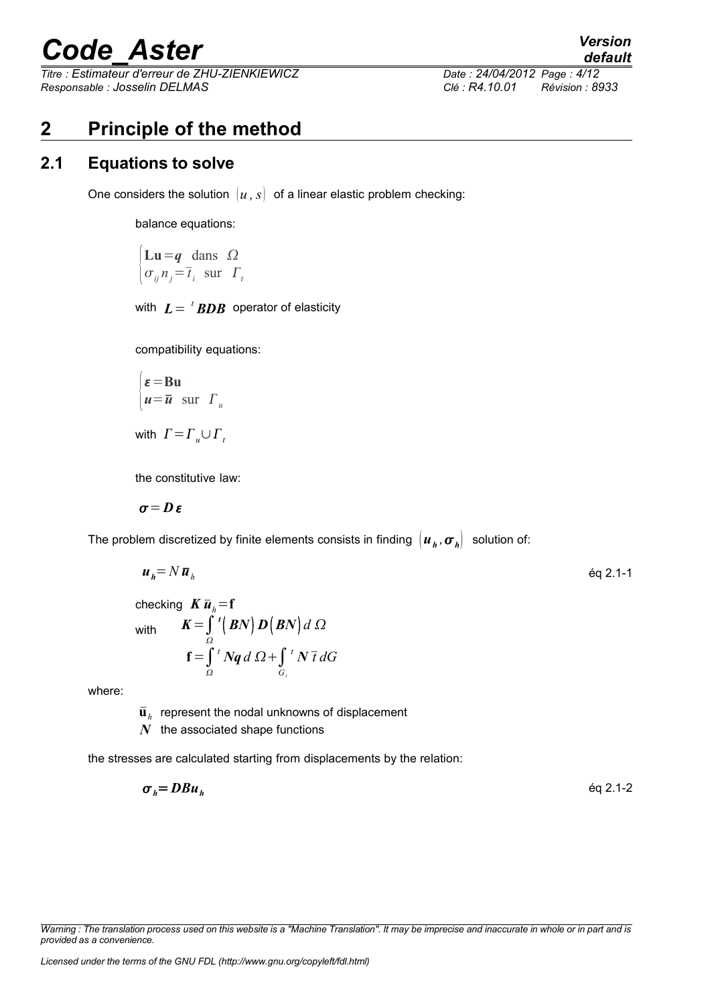*Titre : Estimateur d'erreur de ZHU-ZIENKIEWICZ Date : 24/04/2012 Page : 4/12 Responsable : Josselin DELMAS Clé : R4.10.01 Révision : 8933*

*default*

### <span id="page-3-1"></span>**2 Principle of the method**

#### **2.1 Equations to solve**

<span id="page-3-0"></span>One considers the solution  $\{u, s\}$  of a linear elastic problem checking:

balance equations:

$$
\begin{cases} \mathbf{L}\mathbf{u} = \mathbf{q} \quad \text{dans} \quad \Omega \\ \sigma_{ij} n_j = \overline{t}_i \quad \text{sur} \quad \Gamma_i \end{cases}
$$

with  $\boldsymbol{L} \!=\!~^t\boldsymbol{B} \boldsymbol{D} \boldsymbol{B} \!\!\!\!$  operator of elasticity

compatibility equations:

$$
\begin{cases} \boldsymbol{\varepsilon} = \mathbf{B}\mathbf{u} \\ \boldsymbol{u} = \overline{\boldsymbol{u}} \quad \text{sur} \quad \boldsymbol{\varGamma}_u \end{cases}
$$

with  $\Gamma = \Gamma_{\nu} \cup \Gamma_{\tau}$ 

the constitutive law:

$$
\boldsymbol{\sigma} = \boldsymbol{D}\,\boldsymbol{\varepsilon}
$$

The problem discretized by finite elements consists in finding  $\left|\bm{u}_h,\bm{\sigma}_h\right|$  solution of:

 $t \, N \bar{t} \, dG$ 

$$
u_h = N \bar{u}_h \qquad \qquad \text{Eq 2.1-1}
$$

checking  $K \bar{u}_h = f$ with  $K=\int\limits_{\Omega}$  $\mathcal{D}$   $\left($  *BN* $\right)$  *d*  $\Omega$  $\mathbf{f} = \int_{\Omega}^{t} Nq \, d \Omega + \int_{G_t}$ *Gt*

where:

 $\bar{\mathbf{u}}_h$  represent the nodal unknowns of displacement

*N* the associated shape functions

the stresses are calculated starting from displacements by the relation:

$$
\sigma_h = DBu_h \qquad \qquad \text{Eq 2.1-2}
$$

*Warning : The translation process used on this website is a "Machine Translation". It may be imprecise and inaccurate in whole or in part and is provided as a convenience.*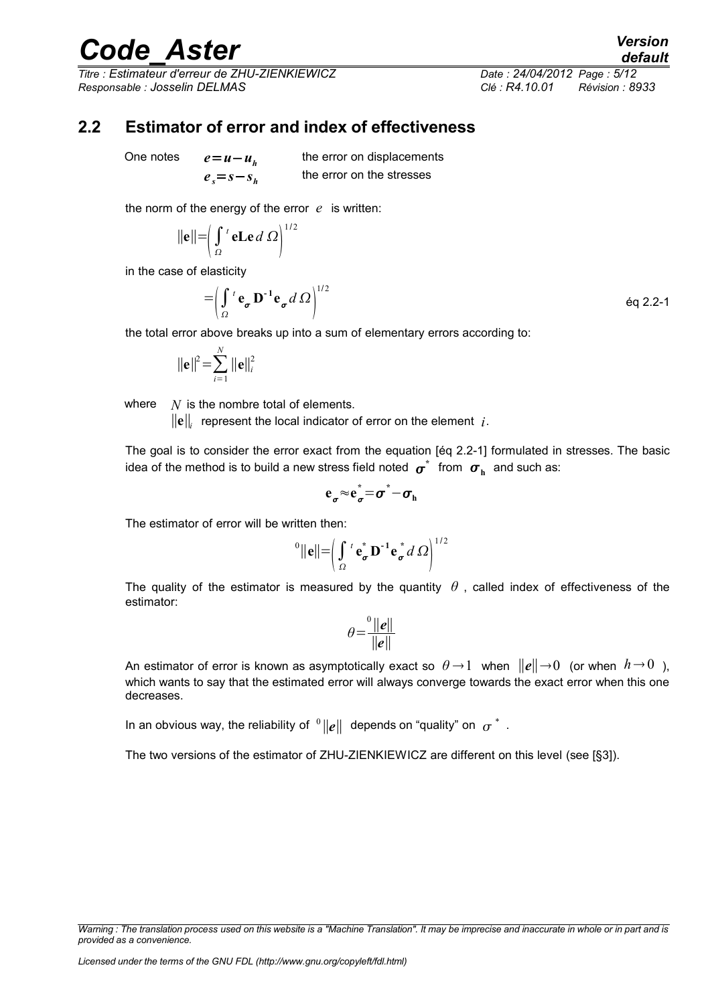*Titre : Estimateur d'erreur de ZHU-ZIENKIEWICZ Date : 24/04/2012 Page : 5/12 Responsable : Josselin DELMAS Clé : R4.10.01 Révision : 8933*

*default*

#### **2.2 Estimator of error and index of effectiveness**

<span id="page-4-0"></span>One notes  $e = u - u_h$ 

 $e<sub>s</sub>=s-s<sub>h</sub>$ 

the error on displacements the error on the stresses

the norm of the energy of the error *e* is written:

$$
\|\mathbf{e}\| = \left(\int_{\Omega} t \, \mathbf{e} \mathbf{L} \mathbf{e} \, d\Omega\right)^{1/2}
$$

in the case of elasticity

$$
= \left(\int_{\Omega} t \mathbf{e}_{\sigma} \mathbf{D}^{-1} \mathbf{e}_{\sigma} d\Omega\right)^{1/2} \tag{6q 2.2-1}
$$

the total error above breaks up into a sum of elementary errors according to:

$$
\|\mathbf{e}\|^2 = \sum_{i=1}^N \|\mathbf{e}\|_i^2
$$

where *N* is the nombre total of elements.

∥**e**∥*<sup>i</sup>* represent the local indicator of error on the element *i*.

The goal is to consider the error exact from the equation [éq 2.2-1] formulated in stresses. The basic idea of the method is to build a new stress field noted  $\boldsymbol{\sigma}^*$  from  $\boldsymbol{\sigma}_\text{h}^*$  and such as:

$$
e_{\sigma}^{\vphantom{}}\!\approx\! e_{\sigma}^*\!\!=\!\sigma^*\!\!-\!\sigma_{\rm h}^{\vphantom{*}}
$$

The estimator of error will be written then:

$$
{}^{0}||\mathbf{e}|| = \left(\int_{\Omega} {}^{t} \mathbf{e}_{\boldsymbol{\sigma}}^{*} \mathbf{D}^{-1} \mathbf{e}_{\boldsymbol{\sigma}}^{*} d \Omega \right)^{1/2}
$$

The quality of the estimator is measured by the quantity  $\theta$ , called index of effectiveness of the estimator:

$$
\theta = \frac{\theta ||e||}{||e||}
$$

An estimator of error is known as asymptotically exact so  $\theta \to 1$  when  $||e|| \to 0$  (or when  $h \to 0$ ), which wants to say that the estimated error will always converge towards the exact error when this one decreases.

In an obvious way, the reliability of  $\ ^0\|\pmb{e}\|$  depends on "quality" on  $\ \sigma^{\,\ast\,}$  .

The two versions of the estimator of ZHU-ZIENKIEWICZ are different on this level (see [§3]).

*Warning : The translation process used on this website is a "Machine Translation". It may be imprecise and inaccurate in whole or in part and is provided as a convenience.*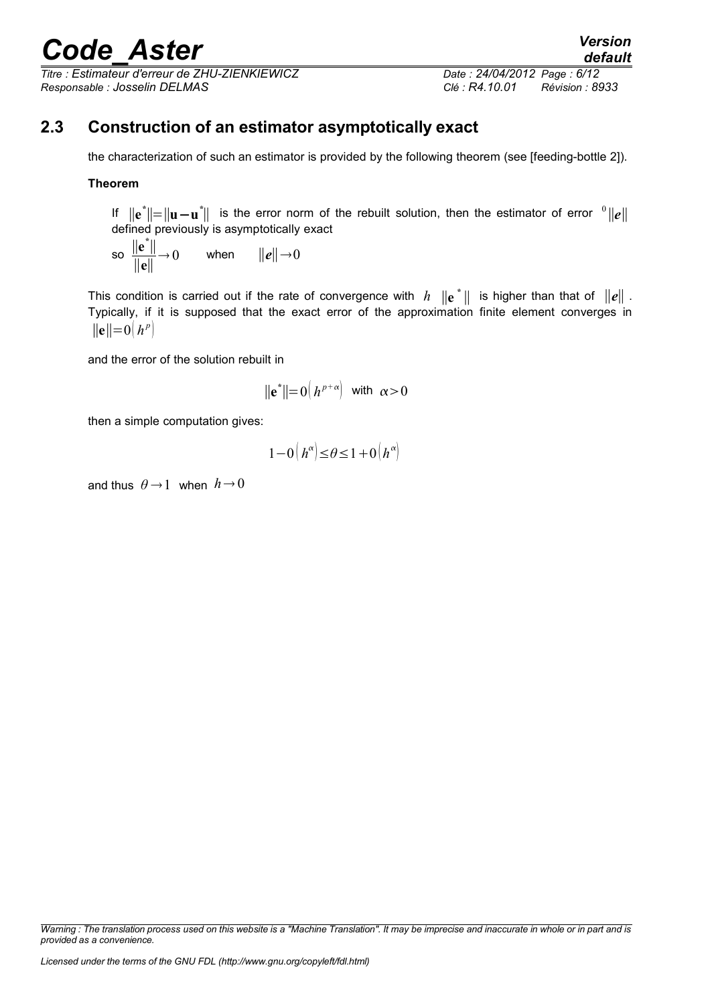*Titre : Estimateur d'erreur de ZHU-ZIENKIEWICZ Date : 24/04/2012 Page : 6/12 Responsable : Josselin DELMAS Clé : R4.10.01 Révision : 8933*

### **2.3 Construction of an estimator asymptotically exact**

<span id="page-5-0"></span>the characterization of such an estimator is provided by the following theorem (see [feeding-bottle 2]).

#### **Theorem**

If  $\|\mathbf{e}^*\|=\|\mathbf{u}-\mathbf{u}^*\|$  is the error norm of the rebuilt solution, then the estimator of error  $\mathbf{0}\|\mathbf{e}\|$ defined previously is asymptotically exact

so 
$$
\frac{\|\mathbf{e}^*\|}{\|\mathbf{e}\|} \to 0
$$
 when  $\|\mathbf{e}\| \to 0$ 

This condition is carried out if the rate of convergence with  $h$   $\| \mathbf{e}^* \|$  is higher than that of  $\| e \|$  . Typically, if it is supposed that the exact error of the approximation finite element converges in  $||e||=0|h^p|$ 

and the error of the solution rebuilt in

$$
\|\mathbf{e}^*\| = 0\left(h^{p+\alpha}\right) \text{ with } \alpha > 0
$$

then a simple computation gives:

$$
1 - 0\left(h^{\alpha}\right) \leq \theta \leq 1 + 0\left(h^{\alpha}\right)
$$

and thus  $\theta \rightarrow 1$  when  $h \rightarrow 0$ 

*Warning : The translation process used on this website is a "Machine Translation". It may be imprecise and inaccurate in whole or in part and is provided as a convenience.*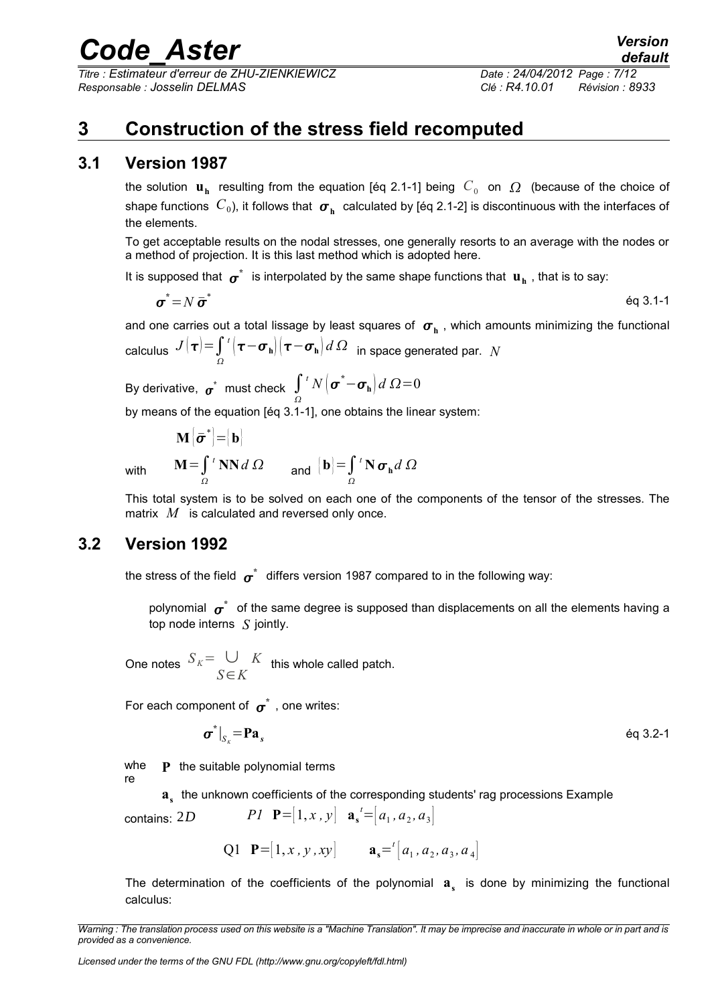*Titre : Estimateur d'erreur de ZHU-ZIENKIEWICZ Date : 24/04/2012 Page : 7/12 Responsable : Josselin DELMAS Clé : R4.10.01 Révision : 8933*

### <span id="page-6-2"></span>**3 Construction of the stress field recomputed**

#### **3.1 Version 1987**

<span id="page-6-1"></span>the solution  $\mathbf{u}_\mathbf{h}$  resulting from the equation [éq 2.1-1] being  $|C_0|$  on  $|\Omega|$  (because of the choice of shape functions  $\,C_0$ ), it follows that  $\, \bm \sigma_{\rm h} \,$  calculated by [éq 2.1-2] is discontinuous with the interfaces of the elements.

To get acceptable results on the nodal stresses, one generally resorts to an average with the nodes or a method of projection. It is this last method which is adopted here.

It is supposed that  $\bm{\sigma}^*$  is interpolated by the same shape functions that  $\bf{u}_h$  , that is to say:

$$
\boldsymbol{\sigma}^* = N \, \boldsymbol{\bar{\sigma}}^* \tag{6.3.1-1}
$$

and one carries out a total lissage by least squares of  $\sigma_{_{\rm h}}$  , which amounts minimizing the functional  $_{\rm{calculus}}$   $J(\boldsymbol{\tau}) {\stackrel{=}{=}} \int\limits_{\varOmega}$  $\int^t \bigl( \boldsymbol{\tau} \!-\! \boldsymbol{\sigma}_\mathbf{h} \bigr) \bigl( \boldsymbol{\tau} \!-\! \boldsymbol{\sigma}_\mathbf{h} \bigr) d\,\varOmega \;\;$  in space generated par.  $N$ 

By derivative,  $\boldsymbol{\sigma}^*$  must check  $\int \!\!\! \int \!\!\! {}^t N\big(\boldsymbol{\sigma}^*\!\!-\!\boldsymbol{\sigma}_\mathbf{h}\big) d\ \Omega\!=\!0$ Ω

by means of the equation [éq 3.1-1], one obtains the linear system:

 $\mathbf{M}\left|\bar{\boldsymbol\sigma}^*\right| = \bigr|\mathbf{b}\bigr|.$ 

$$
\mathbf{M} = \int_{\Omega} {}^{t} \mathbf{N} \mathbf{N} d \Omega \qquad \text{and} \qquad [\mathbf{b}] = \int_{\Omega} {}^{t} \mathbf{N} \, \boldsymbol{\sigma}_{\mathbf{h}} d \Omega
$$

**with** 

This total system is to be solved on each one of the components of the tensor of the stresses. The matrix *M* is calculated and reversed only once.

#### **3.2 Version 1992**

<span id="page-6-0"></span>the stress of the field  $\sigma^*$  differs version 1987 compared to in the following way:

polynomial  $\bm{\sigma}^*$  of the same degree is supposed than displacements on all the elements having a top node interns *S* jointly.

One notes  $S_K = \cup$ *S*∈*K*  $K$  this whole called patch.

For each component of  $\sigma^*$  , one writes:

$$
\boldsymbol{\sigma}^*|_{S_{\kappa}} = \mathbf{Pa}_s \tag{6q 3.2-1}
$$

whe **P** the suitable polynomial terms

re

**as** the unknown coefficients of the corresponding students' rag processions Example

contains: 2*D*  $PI \ \mathbf{P} = [1, x, y] \ \mathbf{a_s}' = [a_1, a_2, a_3]$ 

Q1 **P**=[1, x, y, xy] 
$$
\mathbf{a_s}^{t}[a_1, a_2, a_3, a_4]
$$

The determination of the coefficients of the polynomial  $\mathbf{a}_s$  is done by minimizing the functional calculus:

*Warning : The translation process used on this website is a "Machine Translation". It may be imprecise and inaccurate in whole or in part and is provided as a convenience.*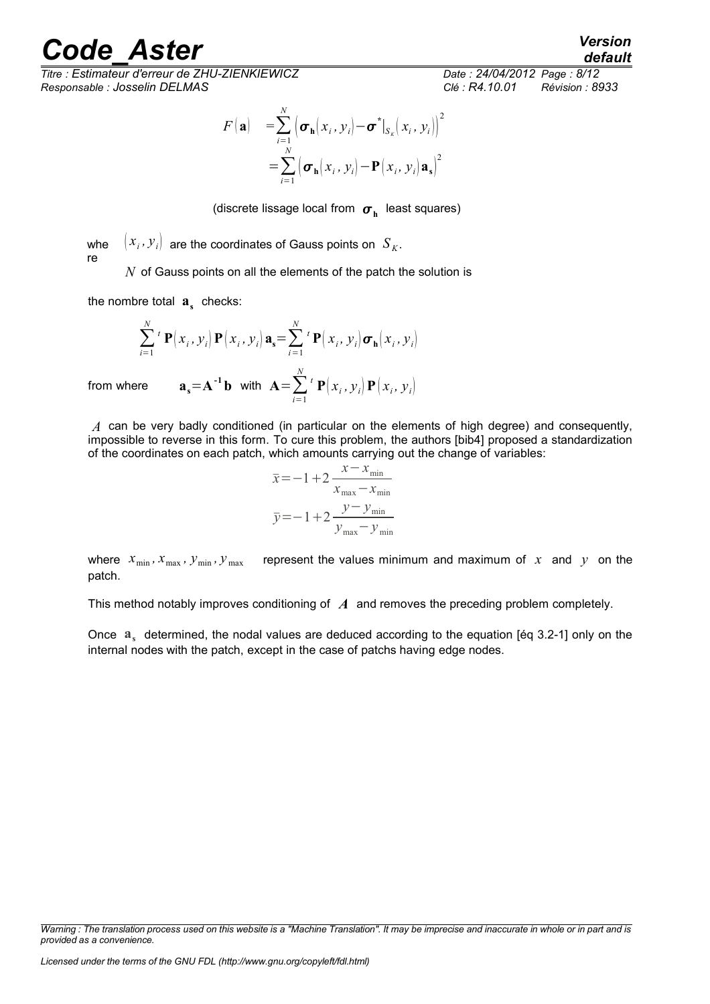*Titre : Estimateur d'erreur de ZHU-ZIENKIEWICZ Date : 24/04/2012 Page : 8/12 Responsable : Josselin DELMAS Clé : R4.10.01 Révision : 8933*

$$
F(\mathbf{a}) = \sum_{i=1}^{N} (\boldsymbol{\sigma}_{\mathbf{h}}(x_i, y_i) - \boldsymbol{\sigma}^*|_{S_K}(x_i, y_i))^{2}
$$
  
= 
$$
\sum_{i=1}^{N} (\boldsymbol{\sigma}_{\mathbf{h}}(x_i, y_i) - \mathbf{P}(x_i, y_i) \mathbf{a}_{\mathbf{s}})^{2}
$$

(discrete lissage local from  $\sigma_{\rm h}^{\parallel}$  least squares)

whe re  $\left(x_i,y_i\right)$  are the coordinates of Gauss points on  $\left.S_{K}.\right)$ *N* of Gauss points on all the elements of the patch the solution is

the nombre total  $\mathbf{a}_s$  checks:

$$
\sum_{i=1}^{N} {}^{t} \mathbf{P}(x_{i}, y_{i}) \mathbf{P}(x_{i}, y_{i}) \mathbf{a}_{s} = \sum_{i=1}^{N} {}^{t} \mathbf{P}(x_{i}, y_{i}) \boldsymbol{\sigma}_{\mathbf{h}}(x_{i}, y_{i})
$$
  
ere 
$$
\mathbf{a}_{s} = \mathbf{A}^{-1} \mathbf{b} \text{ with } \mathbf{A} = \sum_{i=1}^{N} {}^{t} \mathbf{P}(x_{i}, y_{i}) \mathbf{P}(x_{i}, y_{i})
$$

from whe

*A* can be very badly conditioned (in particular on the elements of high degree) and consequently, impossible to reverse in this form. To cure this problem, the authors [bib4] proposed a standardization of the coordinates on each patch, which amounts carrying out the change of variables:

$$
\overline{x} = -1 + 2 \frac{x - x_{\min}}{x_{\max} - x_{\min}}
$$

$$
\overline{y} = -1 + 2 \frac{y - y_{\min}}{y_{\max} - y_{\min}}
$$

where  $x_{\min}$ ,  $x_{\max}$ ,  $y_{\min}$ ,  $y_{\max}$  represent the values minimum and maximum of x and y on the patch.

This method notably improves conditioning of *A* and removes the preceding problem completely.

Once a<sub>s</sub> determined, the nodal values are deduced according to the equation [éq 3.2-1] only on the internal nodes with the patch, except in the case of patchs having edge nodes.

*Warning : The translation process used on this website is a "Machine Translation". It may be imprecise and inaccurate in whole or in part and is provided as a convenience.*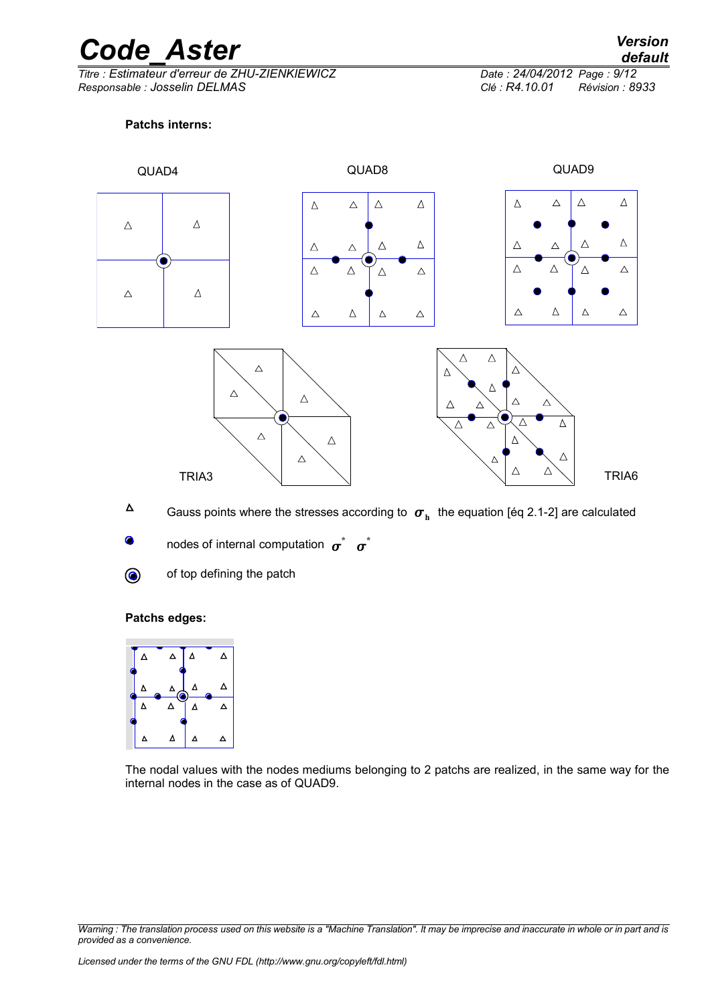*Titre : Estimateur d'erreur de ZHU-ZIENKIEWICZ Date : 24/04/2012 Page : 9/12 Responsable : Josselin DELMAS Clé : R4.10.01 Révision : 8933*

#### **Patchs interns:**



- $\Delta$ Gauss points where the stresses according to  $\sigma_{\rm h}^{\parallel}$  the equation [éq 2.1-2] are calculated
	- nodes of internal computation  $\sigma^*$   $\sigma^*$
- $\circledbullet$
- of top defining the patch

#### **Patchs edges:**



The nodal values with the nodes mediums belonging to 2 patchs are realized, in the same way for the internal nodes in the case as of QUAD9.

*Warning : The translation process used on this website is a "Machine Translation". It may be imprecise and inaccurate in whole or in part and is provided as a convenience.*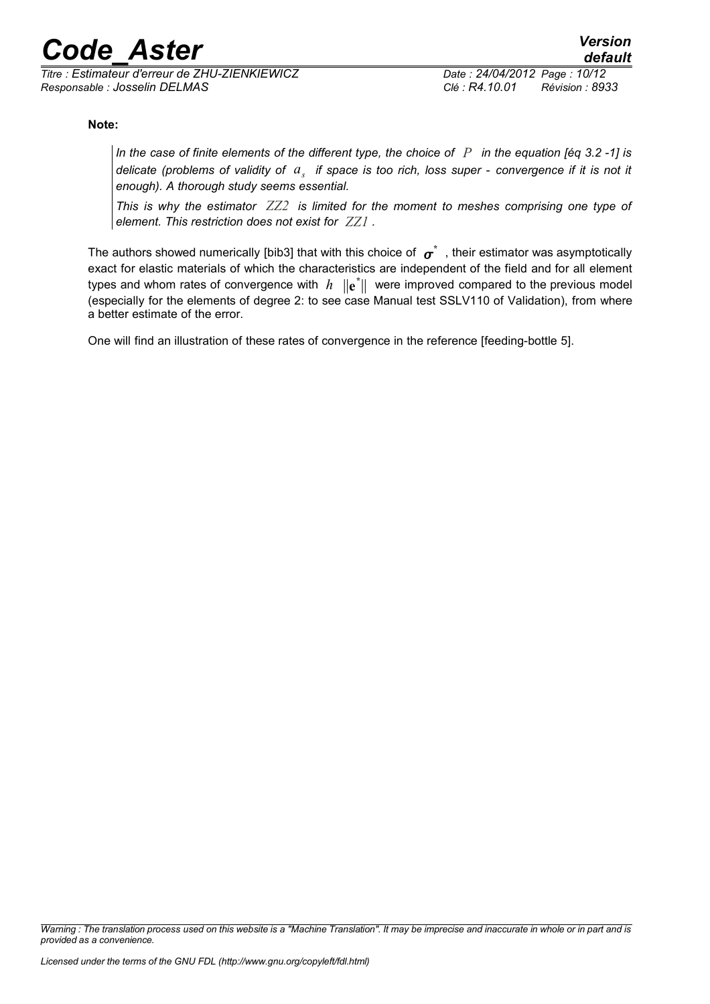*Titre : Estimateur d'erreur de ZHU-ZIENKIEWICZ Date : 24/04/2012 Page : 10/12 Responsable : Josselin DELMAS Clé : R4.10.01 Révision : 8933*

#### **Note:**

*In the case of finite elements of the different type, the choice of P in the equation [éq 3.2 -1] is delicate (problems of validity of a<sup>s</sup> if space is too rich, loss super - convergence if it is not it enough). A thorough study seems essential.*

*This is why the estimator ZZ2 is limited for the moment to meshes comprising one type of element. This restriction does not exist for ZZ1 .*

The authors showed numerically [bib3] that with this choice of  $\,\sigma^* \,$  , their estimator was asymptotically exact for elastic materials of which the characteristics are independent of the field and for all element types and whom rates of convergence with  $h$   $\|\mathbf{e}^*\|$  were improved compared to the previous model (especially for the elements of degree 2: to see case Manual test SSLV110 of Validation), from where a better estimate of the error.

One will find an illustration of these rates of convergence in the reference [feeding-bottle 5].

*Warning : The translation process used on this website is a "Machine Translation". It may be imprecise and inaccurate in whole or in part and is provided as a convenience.*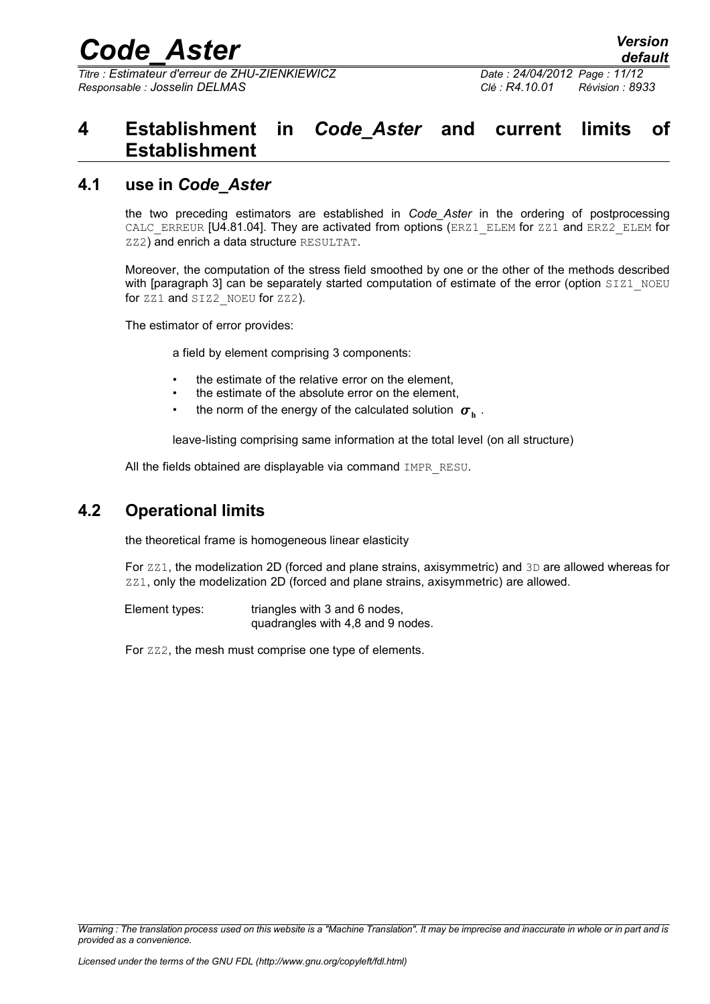*Titre : Estimateur d'erreur de ZHU-ZIENKIEWICZ Date : 24/04/2012 Page : 11/12 Responsable : Josselin DELMAS Clé : R4.10.01 Révision : 8933*

### <span id="page-10-2"></span>**4 Establishment in** *Code\_Aster* **and current limits of Establishment**

#### **4.1 use in** *Code\_Aster*

<span id="page-10-1"></span>the two preceding estimators are established in *Code\_Aster* in the ordering of postprocessing CALC\_ERREUR [U4.81.04]. They are activated from options (ERZ1\_ELEM for ZZ1 and ERZ2\_ELEM for ZZ2) and enrich a data structure RESULTAT.

Moreover, the computation of the stress field smoothed by one or the other of the methods described with [paragraph 3] can be separately started computation of estimate of the error (option SIZ1\_NOEU for zz1 and SIZ2\_NOEU for zz2).

The estimator of error provides:

a field by element comprising 3 components:

- the estimate of the relative error on the element.
- the estimate of the absolute error on the element.
- the norm of the energy of the calculated solution  $\sigma_{\text{h}}$  .

leave-listing comprising same information at the total level (on all structure)

All the fields obtained are displayable via command IMPR\_RESU.

### **4.2 Operational limits**

<span id="page-10-0"></span>the theoretical frame is homogeneous linear elasticity

For  $ZZ1$ , the modelization 2D (forced and plane strains, axisymmetric) and 3D are allowed whereas for ZZ1, only the modelization 2D (forced and plane strains, axisymmetric) are allowed.

Element types: triangles with 3 and 6 nodes, quadrangles with 4,8 and 9 nodes.

For zz2, the mesh must comprise one type of elements.

*Warning : The translation process used on this website is a "Machine Translation". It may be imprecise and inaccurate in whole or in part and is provided as a convenience.*